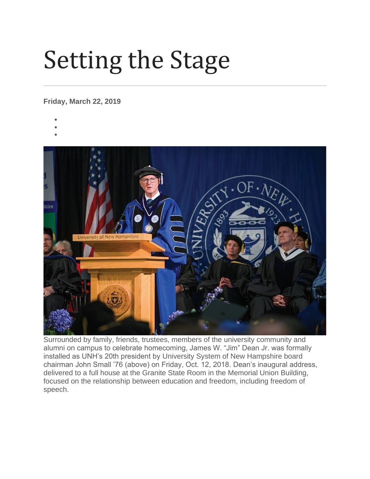## Setting the Stage

## **Friday, March 22, 2019**

- •
- •
- hire

Surrounded by family, friends, trustees, members of the university community and alumni on campus to celebrate homecoming, James W. "Jim" Dean Jr. was formally installed as UNH's 20th president by University System of New Hampshire board chairman John Small '76 (above) on Friday, Oct. 12, 2018. Dean's inaugural address, delivered to a full house at the Granite State Room in the Memorial Union Building, focused on the relationship between education and freedom, including freedom of speech.